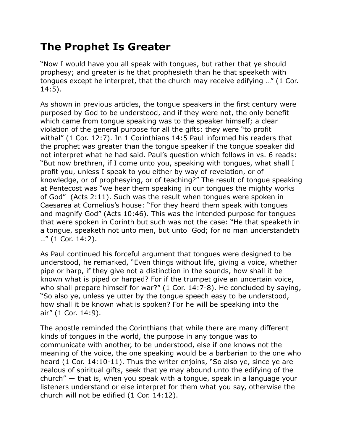## **The Prophet Is Greater**

"Now I would have you all speak with tongues, but rather that ye should prophesy; and greater is he that prophesieth than he that speaketh with tongues except he interpret, that the church may receive edifying …" (1 Cor. 14:5).

As shown in previous articles, the tongue speakers in the first century were purposed by God to be understood, and if they were not, the only benefit which came from tongue speaking was to the speaker himself; a clear violation of the general purpose for all the gifts: they were "to profit withal" (1 Cor. 12:7). In 1 Corinthians 14:5 Paul informed his readers that the prophet was greater than the tongue speaker if the tongue speaker did not interpret what he had said. Paul's question which follows in vs. 6 reads: "But now brethren, if I come unto you, speaking with tongues, what shall I profit you, unless I speak to you either by way of revelation, or of knowledge, or of prophesying, or of teaching?" The result of tongue speaking at Pentecost was "we hear them speaking in our tongues the mighty works of God" (Acts 2:11). Such was the result when tongues were spoken in Caesarea at Cornelius's house: "For they heard them speak with tongues and magnify God" (Acts 10:46). This was the intended purpose for tongues that were spoken in Corinth but such was not the case: "He that speaketh in a tongue, speaketh not unto men, but unto God; for no man understandeth …" (1 Cor. 14:2).

As Paul continued his forceful argument that tongues were designed to be understood, he remarked, "Even things without life, giving a voice, whether pipe or harp, if they give not a distinction in the sounds, how shall it be known what is piped or harped? For if the trumpet give an uncertain voice, who shall prepare himself for war?" (1 Cor. 14:7-8). He concluded by saying, "So also ye, unless ye utter by the tongue speech easy to be understood, how shall it be known what is spoken? For he will be speaking into the air" (1 Cor. 14:9).

The apostle reminded the Corinthians that while there are many different kinds of tongues in the world, the purpose in any tongue was to communicate with another, to be understood, else if one knows not the meaning of the voice, the one speaking would be a barbarian to the one who heard (1 Cor. 14:10-11). Thus the writer enjoins, "So also ye, since ye are zealous of spiritual gifts, seek that ye may abound unto the edifying of the church" — that is, when you speak with a tongue, speak in a language your listeners understand or else interpret for them what you say, otherwise the church will not be edified (1 Cor. 14:12).